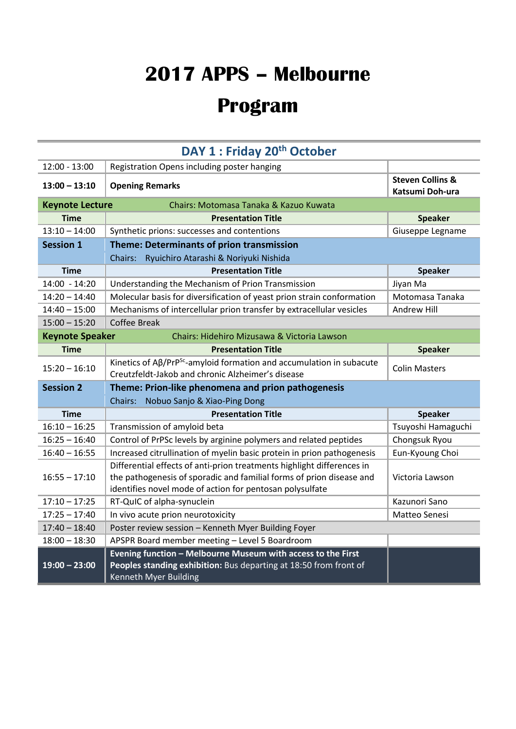## **2017 APPS – Melbourne**

## **Program**

| DAY 1 : Friday 20 <sup>th</sup> October                               |                                                                                                                                                                                                            |                                                |  |
|-----------------------------------------------------------------------|------------------------------------------------------------------------------------------------------------------------------------------------------------------------------------------------------------|------------------------------------------------|--|
| $12:00 - 13:00$                                                       | Registration Opens including poster hanging                                                                                                                                                                |                                                |  |
| $13:00 - 13:10$                                                       | <b>Opening Remarks</b>                                                                                                                                                                                     | <b>Steven Collins &amp;</b><br>Katsumi Doh-ura |  |
| <b>Keynote Lecture</b><br>Chairs: Motomasa Tanaka & Kazuo Kuwata      |                                                                                                                                                                                                            |                                                |  |
| <b>Time</b>                                                           | <b>Presentation Title</b>                                                                                                                                                                                  | <b>Speaker</b>                                 |  |
| $13:10 - 14:00$                                                       | Synthetic prions: successes and contentions                                                                                                                                                                | Giuseppe Legname                               |  |
| <b>Session 1</b>                                                      | Theme: Determinants of prion transmission                                                                                                                                                                  |                                                |  |
|                                                                       | Chairs: Ryuichiro Atarashi & Noriyuki Nishida                                                                                                                                                              |                                                |  |
| <b>Time</b>                                                           | <b>Presentation Title</b>                                                                                                                                                                                  | <b>Speaker</b>                                 |  |
| 14:00 - 14:20                                                         | Understanding the Mechanism of Prion Transmission                                                                                                                                                          | Jiyan Ma                                       |  |
| $14:20 - 14:40$                                                       | Molecular basis for diversification of yeast prion strain conformation                                                                                                                                     | Motomasa Tanaka                                |  |
| $14:40 - 15:00$                                                       | Mechanisms of intercellular prion transfer by extracellular vesicles                                                                                                                                       | Andrew Hill                                    |  |
| $15:00 - 15:20$                                                       | <b>Coffee Break</b>                                                                                                                                                                                        |                                                |  |
| <b>Keynote Speaker</b><br>Chairs: Hidehiro Mizusawa & Victoria Lawson |                                                                                                                                                                                                            |                                                |  |
| <b>Time</b>                                                           | <b>Presentation Title</b>                                                                                                                                                                                  | <b>Speaker</b>                                 |  |
| $15:20 - 16:10$                                                       | Kinetics of Aß/PrP <sup>Sc</sup> -amyloid formation and accumulation in subacute<br>Creutzfeldt-Jakob and chronic Alzheimer's disease                                                                      | <b>Colin Masters</b>                           |  |
| <b>Session 2</b>                                                      | Theme: Prion-like phenomena and prion pathogenesis                                                                                                                                                         |                                                |  |
| Chairs: Nobuo Sanjo & Xiao-Ping Dong                                  |                                                                                                                                                                                                            |                                                |  |
| <b>Time</b>                                                           | <b>Presentation Title</b>                                                                                                                                                                                  | <b>Speaker</b>                                 |  |
| $16:10 - 16:25$                                                       | Transmission of amyloid beta                                                                                                                                                                               | Tsuyoshi Hamaguchi                             |  |
| $16:25 - 16:40$                                                       | Control of PrPSc levels by arginine polymers and related peptides                                                                                                                                          | Chongsuk Ryou                                  |  |
| $16:40 - 16:55$                                                       | Increased citrullination of myelin basic protein in prion pathogenesis                                                                                                                                     | Eun-Kyoung Choi                                |  |
| $16:55 - 17:10$                                                       | Differential effects of anti-prion treatments highlight differences in<br>the pathogenesis of sporadic and familial forms of prion disease and<br>identifies novel mode of action for pentosan polysulfate | Victoria Lawson                                |  |
| $17:10 - 17:25$                                                       | RT-QuIC of alpha-synuclein                                                                                                                                                                                 | Kazunori Sano                                  |  |
| $17:25 - 17:40$                                                       | In vivo acute prion neurotoxicity                                                                                                                                                                          | Matteo Senesi                                  |  |
| $17:40 - 18:40$                                                       | Poster review session - Kenneth Myer Building Foyer                                                                                                                                                        |                                                |  |
| $18:00 - 18:30$                                                       | APSPR Board member meeting - Level 5 Boardroom                                                                                                                                                             |                                                |  |
| $19:00 - 23:00$                                                       | Evening function - Melbourne Museum with access to the First<br>Peoples standing exhibition: Bus departing at 18:50 from front of<br>Kenneth Myer Building                                                 |                                                |  |